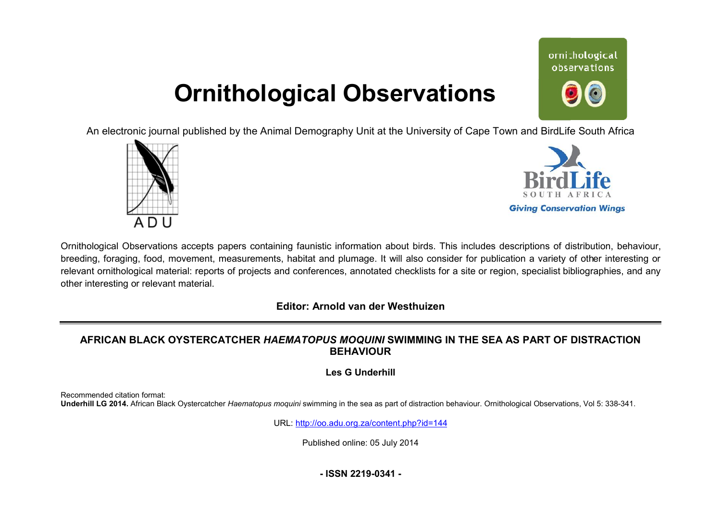# **Ornithological Observations**

An electronic journal published by the Animal Demography Unit at the University of Cape Town and BirdLife South Africa





ornithological observations

Ornithological Observations accepts papers containing faunistic information about birds. This includes descriptions of distribution, behaviour, breeding, foraging, food, movement, measurements, habitat and plumage. It will also consider for publication a variety of other interesting or relevant ornithological material: reports of projects and conferences, annotated checklists for a site or region, specialist bibliographies, and any other interesting or relevant material.

## **Editor: Arnold van der Westhuizen**

# **AFRICAN BLACK OYSTERCATCHER** *HAEMATOPUS MOQUINI*  **SWIMMING IN THE SEA AS PART OF DISTRACTI DISTRACTION BEHAVIOUR**

**Les G Underhill** 

Recommended citation format: Underhill LG 2014. African Black Oystercatcher Haematopus moquini swimming in the sea as part of distraction behaviour. Ornithological Observations, Vol 5: 338-341.

URL: <http://oo.adu.org.za/content.php?id=144>

Published online: 05 July 2014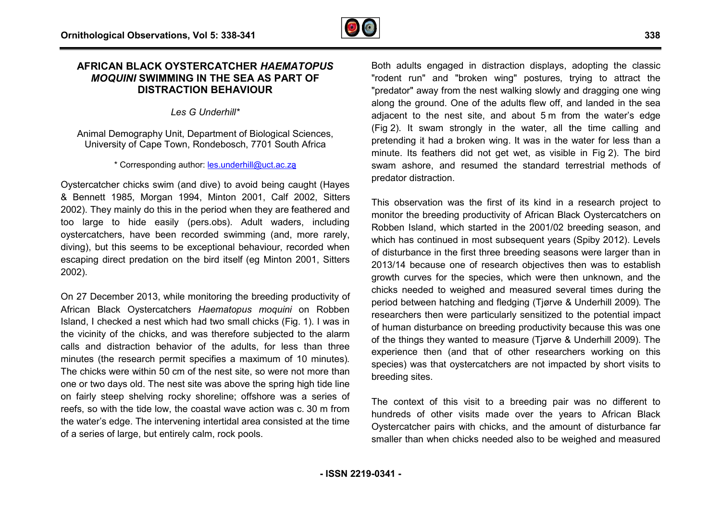## **AFRICAN BLACK OYSTERCATCHER** *HAEMATOPUS MOQUINI* **SWIMMING IN THE SEA AS PART OF DISTRACTION BEHAVIOUR**

*Les G Underhill\**

Animal Demography Unit, Department of Biological Sciences, University of Cape Town, Rondebosch, 7701 South Africa

## \* Corresponding author: **les.underhill@uct.ac.za**

Oystercatcher chicks swim (and dive) to avoid being caught (Hayes & Bennett 1985, Morgan 1994, Minton 2001, Calf 2002, Sitters 2002). They mainly do this in the period when they are feathered and too large to hide easily (pers.obs). Adult waders, including oystercatchers, have been recorded swimming (and, more rarely, diving), but this seems to be exceptional behaviour, recorded when diving), but this seems to be exceptional behaviour, recorded when<br>escaping direct predation on the bird itself (eg Minton 2001, Sitters 2002).

On 27 December 2013, while monitoring the breeding productivity of African Black Oystercatchers *Haematopus moquini* on Robben Island, I checked a nest which had two small chicks (Fig. 1). I was in the vicinity of the chicks, and was therefore subjected to the alarm calls and distraction behavior of the adults, for less than three minutes (the research permit specifies a maximum of 10 minutes) minutes). The chicks were within 50 cm of the nest site, so were not more than one or two days old. The nest site was above the spring high tide line on fairly steep shelving rocky shoreline; offshore was a series of reefs, so with the tide low, the coastal wave action was c. 30 m from the water's edge. The intervening intertidal area consisted at the time of a series of large, but entirely calm, rock pools.

Both adults engaged in distraction displays, adopting the classic "rodent run" and "broken wing" postures, trying to attract the "predator" away from the nest walking slowly and dragging one wing along the ground. One of the adults flew off, and landed in the sea adjacent to the nest site, and about 5 m from the water's edge (Fig 2). It swam strongly in the water, all the time calling and .pretending it had a broken wing. It was in the water for less than a minute. Its feathers did not get wet, as visible in Fig 2). The bird swam ashore, and resumed the standard terrestrial methods of predator distraction.

This observation was the first of its kind in a research project to monitor the breeding productivity of African Black Oystercatchers on Robben Island, which started in the 2001/02 breeding season, and which has continued in most subsequent years (Spiby 2012). Levels of disturbance in the first three breeding seasons were larger than in 2013/14 because one of research objectives then was to establish growth curves for the species, which were then unknown, and the chicks needed to weighed and measured several times during the period between hatching and fledging (Tjørve & Underhill 2009) 2009). The researchers then were particularly sensitized to the potential impact of human disturbance on breeding productivity because this was one of human disturbance on breeding productivity because this was one<br>of the things they wanted to measure (Tjørve & Underhill 2009). The experience then (and that of other researchers working on this species) was that oystercatchers are not impacted by short visits to breeding sites. species) was that oystercatchers are not impacted by short visits to<br>breeding sites.<br>The context of this visit to a breeding pair was no different to nd resumed the standard terrestrial methods of<br>on.<br>was the first of its kind in a research project to<br>ding productivity of African Black Oystercatchers on<br>which started in the 2001/02 breeding season, and

hundreds of other visits made over the years to African Black Oystercatcher pairs with chicks, and the amount of disturbance far smaller than when chicks needed also to be weighed and measured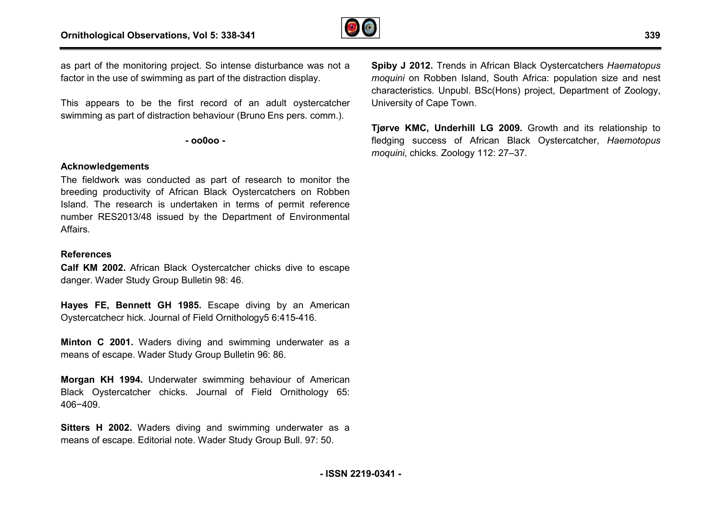

as part of the monitoring project. So intense disturbance was not a factor in the use of swimming as part of the distraction display.

This appears to be the first record of an adult oystercatcher swimming as part of distraction behaviour (Bruno Ens pers. comm.).

**- oo0oo -** 

### **Acknowledgements**

The fieldwork was conducted as part of research to monitor the breeding productivity of African Black Oystercatchers on Robben Island. The research is undertaken in terms of permit reference number RES2013/48 issued by the Department of Environmental Affairs. ystercatchers on F<br>erms of permit ret<br>artment of Enviror<br>ner chicks dive to<br>i.<br>diving by an Ar<br>nology5 6:415-416.

#### **References**

**Calf KM 2002.** African Black Oystercatcher chicks dive to escape danger. Wader Study Group Bulletin 98: 46.

**Hayes FE, Bennett GH 1985.** Escape diving by an American Oystercatchecr hick. Journal of Field Ornithology5 6:415

**Minton C 2001.** Waders diving and swimming underwater as a means of escape. Wader Study Group Bulletin 96: 86.

**Morgan KH 1994.** Underwater swimming behaviour of American Black Oystercatcher chicks. Journal of Field Ornithology 65: 406−409.

**Sitters H 2002.** Waders diving and swimming underwater as a means of escape. Editorial note. Wader Study Group Bull. 97: 50.

intense disturbance was not a<br> **Spiby J 2012.** Trends in African Black Oystercatchers<br>
on aroughino m Robben Island, South Africa: population solid<br>
characteristics. Unpubl. BSc(Hons) project, Departmen<br>
cour (Bruno En moquini on Robben Island, South Africa: population size and nest characteristics. Unpubl. BSc(Hons) project, Department of Zoology, .University of Cape Town. **Spiby J 2012.** Trends in African Black Oystercatchers Haematopus

**Tjørve KMC, Underhill LG 2009.** Growth and its relationship to fledging success of African Black Oystercatcher, *Haemotopus moquini*, chicks. Zoology 112: 27–37.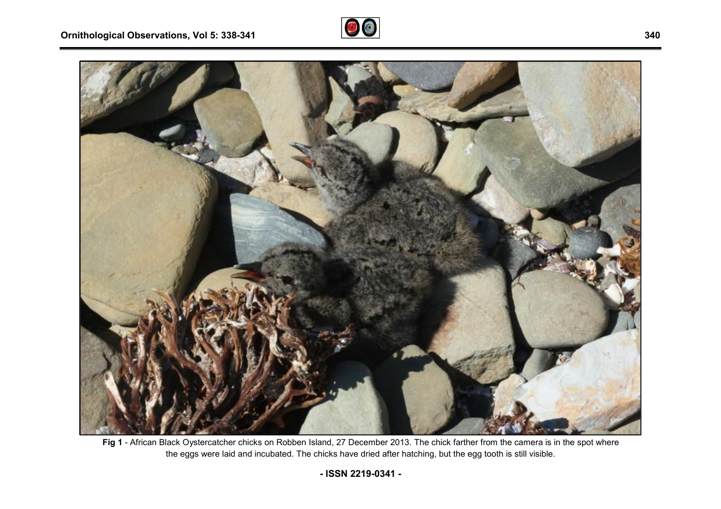



Fig 1 - African Black Oystercatcher chicks on Robben Island, 27 December 2013. The chick farther from the camera is in the spot where the eggs were laid and incubated. The chicks have dried after hatching, but the egg tooth is still visible.